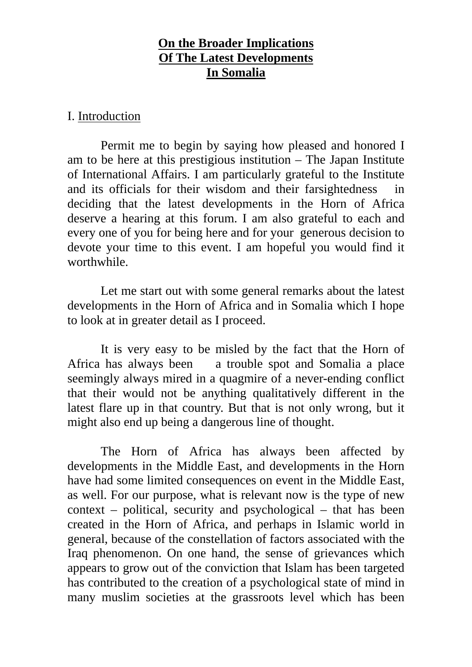## **On the Broader Implications Of The Latest Developments In Somalia**

### I. Introduction

Permit me to begin by saying how pleased and honored I am to be here at this prestigious institution – The Japan Institute of International Affairs. I am particularly grateful to the Institute and its officials for their wisdom and their farsightedness deciding that the latest developments in the Horn of Africa deserve a hearing at this forum. I am also grateful to each and every one of you for being here and for your generous decision to devote your time to this event. I am hopeful you would find it worthwhile.

Let me start out with some general remarks about the latest developments in the Horn of Africa and in Somalia which I hope to look at in greater detail as I proceed.

It is very easy to be misled by the fact that the Horn of Africa has always been a trouble spot and Somalia a place seemingly always mired in a quagmire of a never-ending conflict that their would not be anything qualitatively different in the latest flare up in that country. But that is not only wrong, but it might also end up being a dangerous line of thought.

The Horn of Africa has always been affected by developments in the Middle East, and developments in the Horn have had some limited consequences on event in the Middle East, as well. For our purpose, what is relevant now is the type of new context – political, security and psychological – that has been created in the Horn of Africa, and perhaps in Islamic world in general, because of the constellation of factors associated with the Iraq phenomenon. On one hand, the sense of grievances which appears to grow out of the conviction that Islam has been targeted has contributed to the creation of a psychological state of mind in many muslim societies at the grassroots level which has been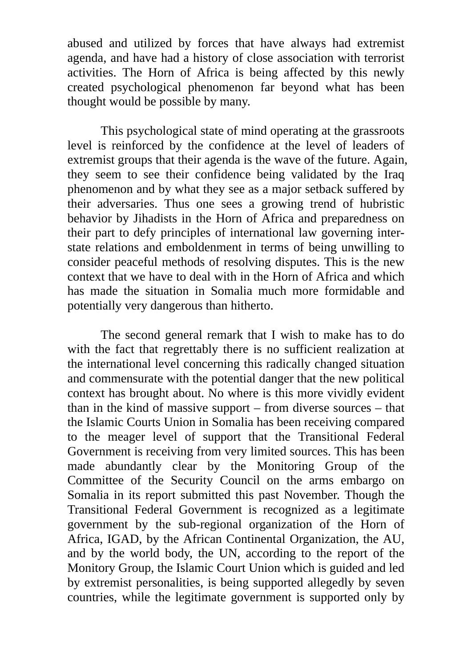abused and utilized by forces that have always had extremist agenda, and have had a history of close association with terrorist activities. The Horn of Africa is being affected by this newly created psychological phenomenon far beyond what has been thought would be possible by many.

This psychological state of mind operating at the grassroots level is reinforced by the confidence at the level of leaders of extremist groups that their agenda is the wave of the future. Again, they seem to see their confidence being validated by the Iraq phenomenon and by what they see as a major setback suffered by their adversaries. Thus one sees a growing trend of hubristic behavior by Jihadists in the Horn of Africa and preparedness on their part to defy principles of international law governing interstate relations and emboldenment in terms of being unwilling to consider peaceful methods of resolving disputes. This is the new context that we have to deal with in the Horn of Africa and which has made the situation in Somalia much more formidable and potentially very dangerous than hitherto.

The second general remark that I wish to make has to do with the fact that regrettably there is no sufficient realization at the international level concerning this radically changed situation and commensurate with the potential danger that the new political context has brought about. No where is this more vividly evident than in the kind of massive support – from diverse sources – that the Islamic Courts Union in Somalia has been receiving compared to the meager level of support that the Transitional Federal Government is receiving from very limited sources. This has been made abundantly clear by the Monitoring Group of the Committee of the Security Council on the arms embargo on Somalia in its report submitted this past November. Though the Transitional Federal Government is recognized as a legitimate government by the sub-regional organization of the Horn of Africa, IGAD, by the African Continental Organization, the AU, and by the world body, the UN, according to the report of the Monitory Group, the Islamic Court Union which is guided and led by extremist personalities, is being supported allegedly by seven countries, while the legitimate government is supported only by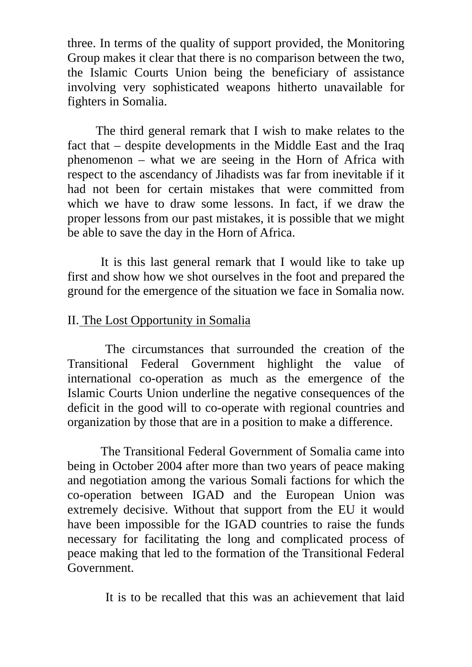three. In terms of the quality of support provided, the Monitoring Group makes it clear that there is no comparison between the two, the Islamic Courts Union being the beneficiary of assistance involving very sophisticated weapons hitherto unavailable for fighters in Somalia.

 The third general remark that I wish to make relates to the fact that – despite developments in the Middle East and the Iraq phenomenon – what we are seeing in the Horn of Africa with respect to the ascendancy of Jihadists was far from inevitable if it had not been for certain mistakes that were committed from which we have to draw some lessons. In fact, if we draw the proper lessons from our past mistakes, it is possible that we might be able to save the day in the Horn of Africa.

It is this last general remark that I would like to take up first and show how we shot ourselves in the foot and prepared the ground for the emergence of the situation we face in Somalia now.

## II. The Lost Opportunity in Somalia

 The circumstances that surrounded the creation of the Transitional Federal Government highlight the value of international co-operation as much as the emergence of the Islamic Courts Union underline the negative consequences of the deficit in the good will to co-operate with regional countries and organization by those that are in a position to make a difference.

The Transitional Federal Government of Somalia came into being in October 2004 after more than two years of peace making and negotiation among the various Somali factions for which the co-operation between IGAD and the European Union was extremely decisive. Without that support from the EU it would have been impossible for the IGAD countries to raise the funds necessary for facilitating the long and complicated process of peace making that led to the formation of the Transitional Federal Government.

It is to be recalled that this was an achievement that laid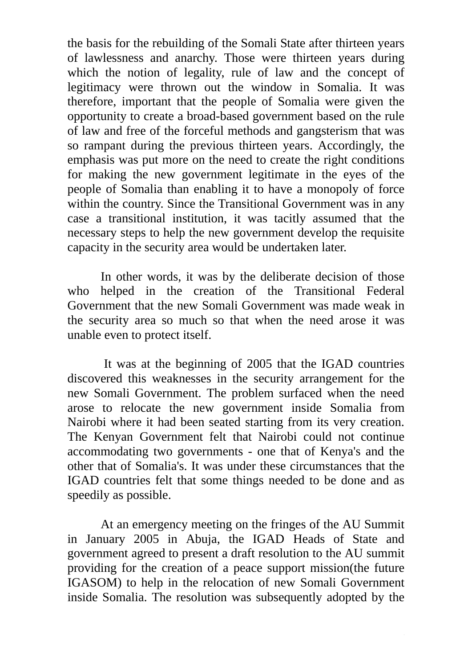the basis for the rebuilding of the Somali State after thirteen years of lawlessness and anarchy. Those were thirteen years during which the notion of legality, rule of law and the concept of legitimacy were thrown out the window in Somalia. It was therefore, important that the people of Somalia were given the opportunity to create a broad-based government based on the rule of law and free of the forceful methods and gangsterism that was so rampant during the previous thirteen years. Accordingly, the emphasis was put more on the need to create the right conditions for making the new government legitimate in the eyes of the people of Somalia than enabling it to have a monopoly of force within the country. Since the Transitional Government was in any case a transitional institution, it was tacitly assumed that the necessary steps to help the new government develop the requisite capacity in the security area would be undertaken later.

In other words, it was by the deliberate decision of those who helped in the creation of the Transitional Federal Government that the new Somali Government was made weak in the security area so much so that when the need arose it was unable even to protect itself.

 It was at the beginning of 2005 that the IGAD countries discovered this weaknesses in the security arrangement for the new Somali Government. The problem surfaced when the need arose to relocate the new government inside Somalia from Nairobi where it had been seated starting from its very creation. The Kenyan Government felt that Nairobi could not continue accommodating two governments - one that of Kenya's and the other that of Somalia's. It was under these circumstances that the IGAD countries felt that some things needed to be done and as speedily as possible.

At an emergency meeting on the fringes of the AU Summit in January 2005 in Abuja, the IGAD Heads of State and government agreed to present a draft resolution to the AU summit providing for the creation of a peace support mission(the future IGASOM) to help in the relocation of new Somali Government inside Somalia. The resolution was subsequently adopted by the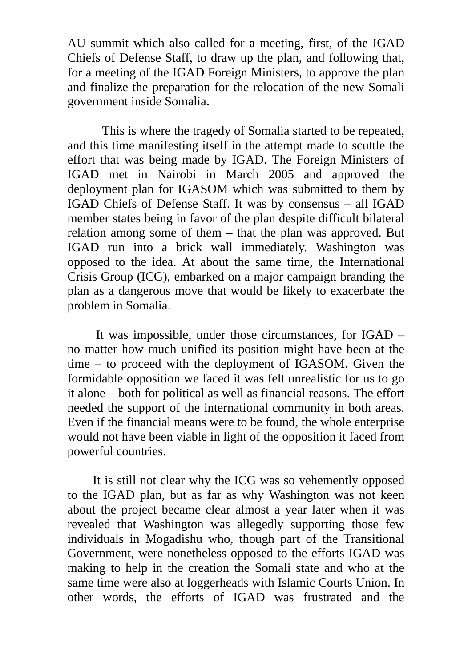AU summit which also called for a meeting, first, of the IGAD Chiefs of Defense Staff, to draw up the plan, and following that, for a meeting of the IGAD Foreign Ministers, to approve the plan and finalize the preparation for the relocation of the new Somali government inside Somalia.

 This is where the tragedy of Somalia started to be repeated, and this time manifesting itself in the attempt made to scuttle the effort that was being made by IGAD. The Foreign Ministers of IGAD met in Nairobi in March 2005 and approved the deployment plan for IGASOM which was submitted to them by IGAD Chiefs of Defense Staff. It was by consensus – all IGAD member states being in favor of the plan despite difficult bilateral relation among some of them – that the plan was approved. But IGAD run into a brick wall immediately. Washington was opposed to the idea. At about the same time, the International Crisis Group (ICG), embarked on a major campaign branding the plan as a dangerous move that would be likely to exacerbate the problem in Somalia.

 It was impossible, under those circumstances, for IGAD – no matter how much unified its position might have been at the time – to proceed with the deployment of IGASOM. Given the formidable opposition we faced it was felt unrealistic for us to go it alone – both for political as well as financial reasons. The effort needed the support of the international community in both areas. Even if the financial means were to be found, the whole enterprise would not have been viable in light of the opposition it faced from powerful countries.

 It is still not clear why the ICG was so vehemently opposed to the IGAD plan, but as far as why Washington was not keen about the project became clear almost a year later when it was revealed that Washington was allegedly supporting those few individuals in Mogadishu who, though part of the Transitional Government, were nonetheless opposed to the efforts IGAD was making to help in the creation the Somali state and who at the same time were also at loggerheads with Islamic Courts Union. In other words, the efforts of IGAD was frustrated and the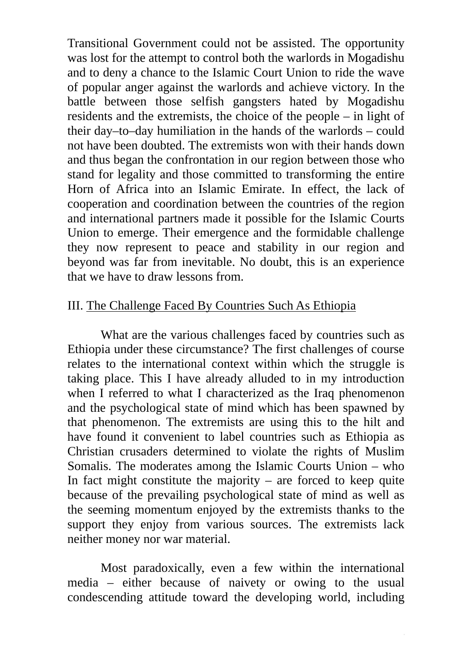Transitional Government could not be assisted. The opportunity was lost for the attempt to control both the warlords in Mogadishu and to deny a chance to the Islamic Court Union to ride the wave of popular anger against the warlords and achieve victory. In the battle between those selfish gangsters hated by Mogadishu residents and the extremists, the choice of the people – in light of their day–to–day humiliation in the hands of the warlords – could not have been doubted. The extremists won with their hands down and thus began the confrontation in our region between those who stand for legality and those committed to transforming the entire Horn of Africa into an Islamic Emirate. In effect, the lack of cooperation and coordination between the countries of the region and international partners made it possible for the Islamic Courts Union to emerge. Their emergence and the formidable challenge they now represent to peace and stability in our region and beyond was far from inevitable. No doubt, this is an experience that we have to draw lessons from.

### III. The Challenge Faced By Countries Such As Ethiopia

What are the various challenges faced by countries such as Ethiopia under these circumstance? The first challenges of course relates to the international context within which the struggle is taking place. This I have already alluded to in my introduction when I referred to what I characterized as the Iraq phenomenon and the psychological state of mind which has been spawned by that phenomenon. The extremists are using this to the hilt and have found it convenient to label countries such as Ethiopia as Christian crusaders determined to violate the rights of Muslim Somalis. The moderates among the Islamic Courts Union – who In fact might constitute the majority – are forced to keep quite because of the prevailing psychological state of mind as well as the seeming momentum enjoyed by the extremists thanks to the support they enjoy from various sources. The extremists lack neither money nor war material.

Most paradoxically, even a few within the international media – either because of naivety or owing to the usual condescending attitude toward the developing world, including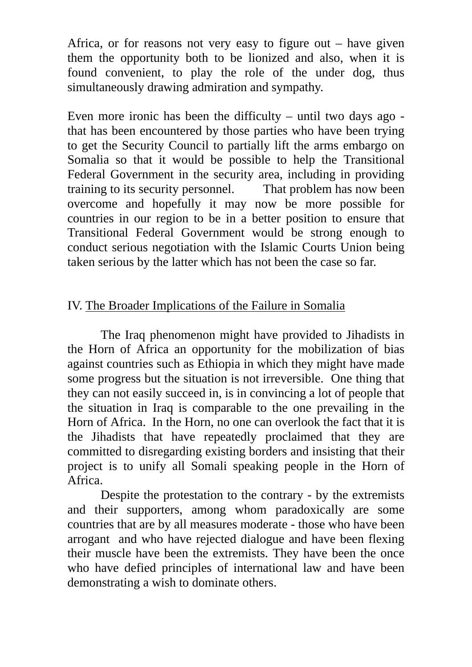Africa, or for reasons not very easy to figure out  $-$  have given them the opportunity both to be lionized and also, when it is found convenient, to play the role of the under dog, thus simultaneously drawing admiration and sympathy.

Even more ironic has been the difficulty – until two days ago that has been encountered by those parties who have been trying to get the Security Council to partially lift the arms embargo on Somalia so that it would be possible to help the Transitional Federal Government in the security area, including in providing training to its security personnel. That problem has now been overcome and hopefully it may now be more possible for countries in our region to be in a better position to ensure that Transitional Federal Government would be strong enough to conduct serious negotiation with the Islamic Courts Union being taken serious by the latter which has not been the case so far.

# IV. The Broader Implications of the Failure in Somalia

The Iraq phenomenon might have provided to Jihadists in the Horn of Africa an opportunity for the mobilization of bias against countries such as Ethiopia in which they might have made some progress but the situation is not irreversible. One thing that they can not easily succeed in, is in convincing a lot of people that the situation in Iraq is comparable to the one prevailing in the Horn of Africa. In the Horn, no one can overlook the fact that it is the Jihadists that have repeatedly proclaimed that they are committed to disregarding existing borders and insisting that their project is to unify all Somali speaking people in the Horn of Africa.

Despite the protestation to the contrary - by the extremists and their supporters, among whom paradoxically are some countries that are by all measures moderate - those who have been arrogant and who have rejected dialogue and have been flexing their muscle have been the extremists. They have been the once who have defied principles of international law and have been demonstrating a wish to dominate others.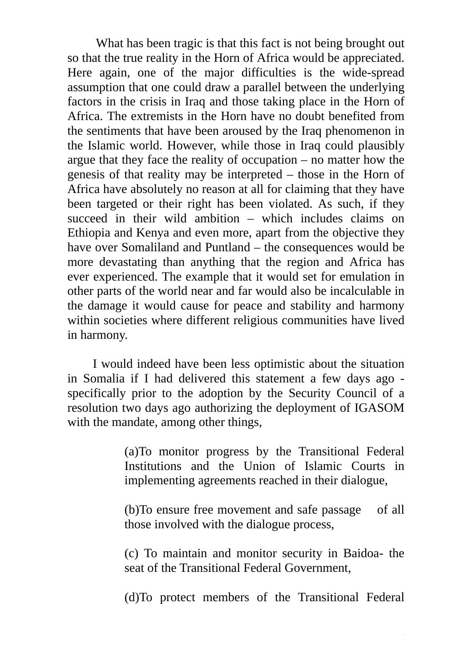What has been tragic is that this fact is not being brought out so that the true reality in the Horn of Africa would be appreciated. Here again, one of the major difficulties is the wide-spread assumption that one could draw a parallel between the underlying factors in the crisis in Iraq and those taking place in the Horn of Africa. The extremists in the Horn have no doubt benefited from the sentiments that have been aroused by the Iraq phenomenon in the Islamic world. However, while those in Iraq could plausibly argue that they face the reality of occupation – no matter how the genesis of that reality may be interpreted – those in the Horn of Africa have absolutely no reason at all for claiming that they have been targeted or their right has been violated. As such, if they succeed in their wild ambition – which includes claims on Ethiopia and Kenya and even more, apart from the objective they have over Somaliland and Puntland – the consequences would be more devastating than anything that the region and Africa has ever experienced. The example that it would set for emulation in other parts of the world near and far would also be incalculable in the damage it would cause for peace and stability and harmony within societies where different religious communities have lived in harmony.

 I would indeed have been less optimistic about the situation in Somalia if I had delivered this statement a few days ago specifically prior to the adoption by the Security Council of a resolution two days ago authorizing the deployment of IGASOM with the mandate, among other things,

> (a)To monitor progress by the Transitional Federal Institutions and the Union of Islamic Courts in implementing agreements reached in their dialogue,

> (b)To ensure free movement and safe passage of all those involved with the dialogue process,

> (c) To maintain and monitor security in Baidoa- the seat of the Transitional Federal Government,

> (d)To protect members of the Transitional Federal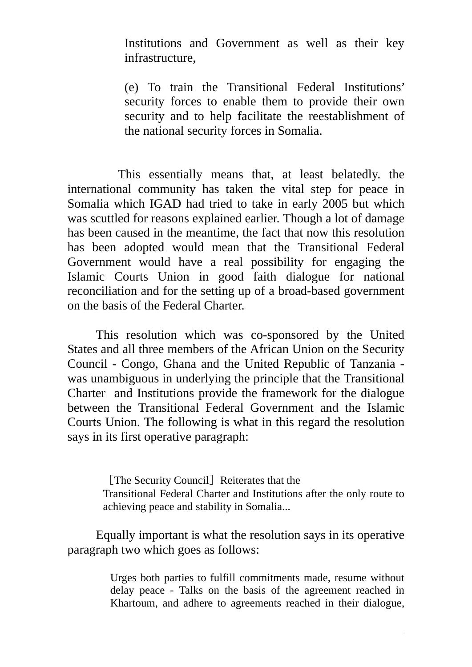Institutions and Government as well as their key infrastructure,

(e) To train the Transitional Federal Institutions' security forces to enable them to provide their own security and to help facilitate the reestablishment of the national security forces in Somalia.

 This essentially means that, at least belatedly. the international community has taken the vital step for peace in Somalia which IGAD had tried to take in early 2005 but which was scuttled for reasons explained earlier. Though a lot of damage has been caused in the meantime, the fact that now this resolution has been adopted would mean that the Transitional Federal Government would have a real possibility for engaging the Islamic Courts Union in good faith dialogue for national reconciliation and for the setting up of a broad-based government on the basis of the Federal Charter.

This resolution which was co-sponsored by the United States and all three members of the African Union on the Security Council - Congo, Ghana and the United Republic of Tanzania was unambiguous in underlying the principle that the Transitional Charter and Institutions provide the framework for the dialogue between the Transitional Federal Government and the Islamic Courts Union. The following is what in this regard the resolution says in its first operative paragraph:

> [The Security Council] Reiterates that the Transitional Federal Charter and Institutions after the only route to achieving peace and stability in Somalia...

Equally important is what the resolution says in its operative paragraph two which goes as follows:

> Urges both parties to fulfill commitments made, resume without delay peace - Talks on the basis of the agreement reached in Khartoum, and adhere to agreements reached in their dialogue,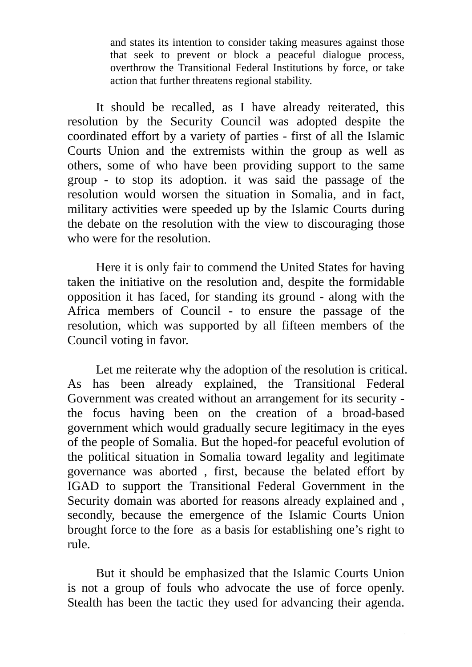and states its intention to consider taking measures against those that seek to prevent or block a peaceful dialogue process, overthrow the Transitional Federal Institutions by force, or take action that further threatens regional stability.

It should be recalled, as I have already reiterated, this resolution by the Security Council was adopted despite the coordinated effort by a variety of parties - first of all the Islamic Courts Union and the extremists within the group as well as others, some of who have been providing support to the same group - to stop its adoption. it was said the passage of the resolution would worsen the situation in Somalia, and in fact, military activities were speeded up by the Islamic Courts during the debate on the resolution with the view to discouraging those who were for the resolution.

Here it is only fair to commend the United States for having taken the initiative on the resolution and, despite the formidable opposition it has faced, for standing its ground - along with the Africa members of Council - to ensure the passage of the resolution, which was supported by all fifteen members of the Council voting in favor.

Let me reiterate why the adoption of the resolution is critical. As has been already explained, the Transitional Federal Government was created without an arrangement for its security the focus having been on the creation of a broad-based government which would gradually secure legitimacy in the eyes of the people of Somalia. But the hoped-for peaceful evolution of the political situation in Somalia toward legality and legitimate governance was aborted , first, because the belated effort by IGAD to support the Transitional Federal Government in the Security domain was aborted for reasons already explained and , secondly, because the emergence of the Islamic Courts Union brought force to the fore as a basis for establishing one's right to rule.

But it should be emphasized that the Islamic Courts Union is not a group of fouls who advocate the use of force openly. Stealth has been the tactic they used for advancing their agenda.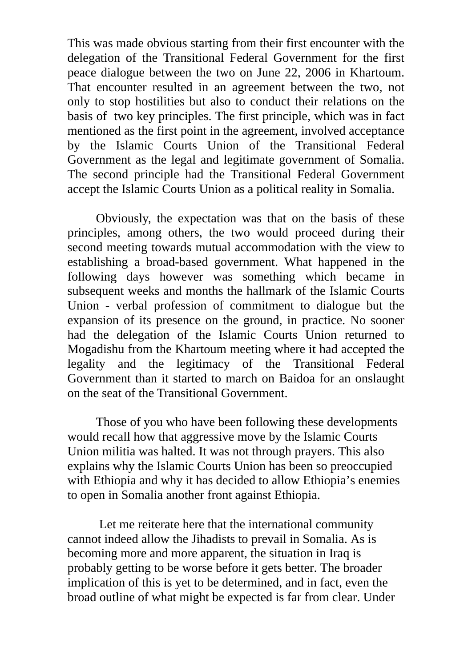This was made obvious starting from their first encounter with the delegation of the Transitional Federal Government for the first peace dialogue between the two on June 22, 2006 in Khartoum. That encounter resulted in an agreement between the two, not only to stop hostilities but also to conduct their relations on the basis of two key principles. The first principle, which was in fact mentioned as the first point in the agreement, involved acceptance by the Islamic Courts Union of the Transitional Federal Government as the legal and legitimate government of Somalia. The second principle had the Transitional Federal Government accept the Islamic Courts Union as a political reality in Somalia.

Obviously, the expectation was that on the basis of these principles, among others, the two would proceed during their second meeting towards mutual accommodation with the view to establishing a broad-based government. What happened in the following days however was something which became in subsequent weeks and months the hallmark of the Islamic Courts Union - verbal profession of commitment to dialogue but the expansion of its presence on the ground, in practice. No sooner had the delegation of the Islamic Courts Union returned to Mogadishu from the Khartoum meeting where it had accepted the legality and the legitimacy of the Transitional Federal Government than it started to march on Baidoa for an onslaught on the seat of the Transitional Government.

 Those of you who have been following these developments would recall how that aggressive move by the Islamic Courts Union militia was halted. It was not through prayers. This also explains why the Islamic Courts Union has been so preoccupied with Ethiopia and why it has decided to allow Ethiopia's enemies to open in Somalia another front against Ethiopia.

 Let me reiterate here that the international community cannot indeed allow the Jihadists to prevail in Somalia. As is becoming more and more apparent, the situation in Iraq is probably getting to be worse before it gets better. The broader implication of this is yet to be determined, and in fact, even the broad outline of what might be expected is far from clear. Under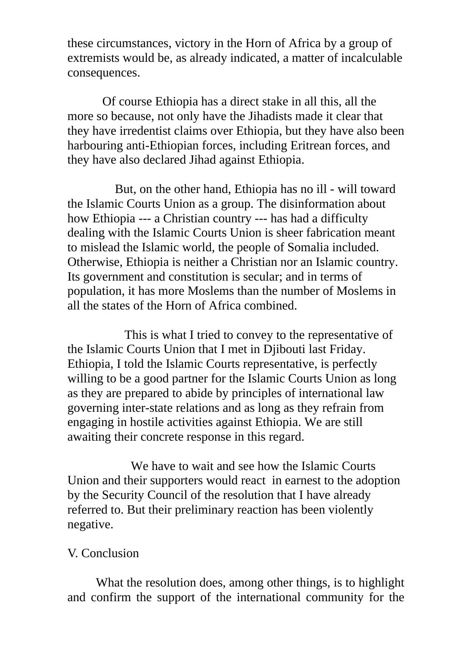these circumstances, victory in the Horn of Africa by a group of extremists would be, as already indicated, a matter of incalculable consequences.

 Of course Ethiopia has a direct stake in all this, all the more so because, not only have the Jihadists made it clear that they have irredentist claims over Ethiopia, but they have also been harbouring anti-Ethiopian forces, including Eritrean forces, and they have also declared Jihad against Ethiopia.

 But, on the other hand, Ethiopia has no ill - will toward the Islamic Courts Union as a group. The disinformation about how Ethiopia --- a Christian country --- has had a difficulty dealing with the Islamic Courts Union is sheer fabrication meant to mislead the Islamic world, the people of Somalia included. Otherwise, Ethiopia is neither a Christian nor an Islamic country. Its government and constitution is secular; and in terms of population, it has more Moslems than the number of Moslems in all the states of the Horn of Africa combined.

 This is what I tried to convey to the representative of the Islamic Courts Union that I met in Djibouti last Friday. Ethiopia, I told the Islamic Courts representative, is perfectly willing to be a good partner for the Islamic Courts Union as long as they are prepared to abide by principles of international law governing inter-state relations and as long as they refrain from engaging in hostile activities against Ethiopia. We are still awaiting their concrete response in this regard.

 We have to wait and see how the Islamic Courts Union and their supporters would react in earnest to the adoption by the Security Council of the resolution that I have already referred to. But their preliminary reaction has been violently negative.

#### V. Conclusion

What the resolution does, among other things, is to highlight and confirm the support of the international community for the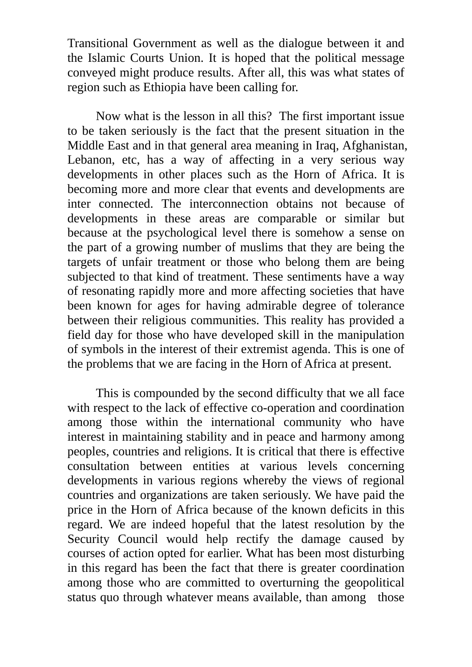Transitional Government as well as the dialogue between it and the Islamic Courts Union. It is hoped that the political message conveyed might produce results. After all, this was what states of region such as Ethiopia have been calling for.

Now what is the lesson in all this? The first important issue to be taken seriously is the fact that the present situation in the Middle East and in that general area meaning in Iraq, Afghanistan, Lebanon, etc, has a way of affecting in a very serious way developments in other places such as the Horn of Africa. It is becoming more and more clear that events and developments are inter connected. The interconnection obtains not because of developments in these areas are comparable or similar but because at the psychological level there is somehow a sense on the part of a growing number of muslims that they are being the targets of unfair treatment or those who belong them are being subjected to that kind of treatment. These sentiments have a way of resonating rapidly more and more affecting societies that have been known for ages for having admirable degree of tolerance between their religious communities. This reality has provided a field day for those who have developed skill in the manipulation of symbols in the interest of their extremist agenda. This is one of the problems that we are facing in the Horn of Africa at present.

This is compounded by the second difficulty that we all face with respect to the lack of effective co-operation and coordination among those within the international community who have interest in maintaining stability and in peace and harmony among peoples, countries and religions. It is critical that there is effective consultation between entities at various levels concerning developments in various regions whereby the views of regional countries and organizations are taken seriously. We have paid the price in the Horn of Africa because of the known deficits in this regard. We are indeed hopeful that the latest resolution by the Security Council would help rectify the damage caused by courses of action opted for earlier. What has been most disturbing in this regard has been the fact that there is greater coordination among those who are committed to overturning the geopolitical status quo through whatever means available, than among those